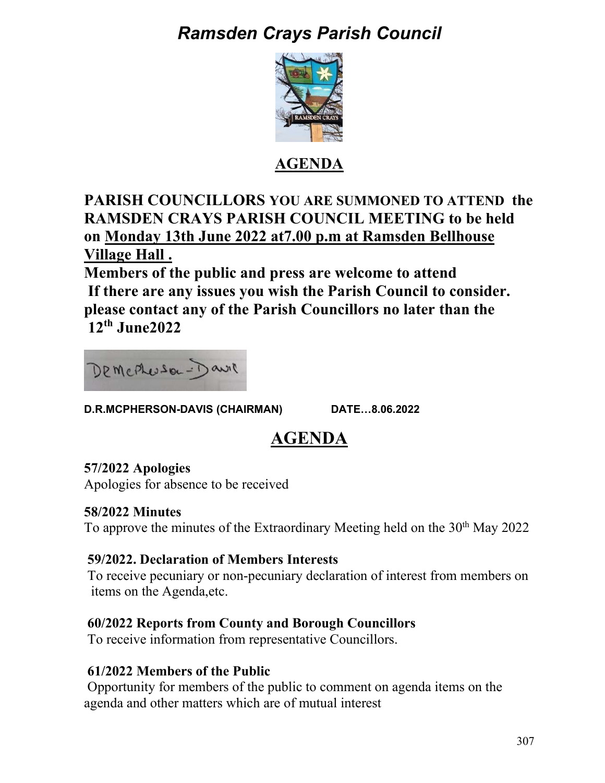# *Ramsden Crays Parish Council*



## **AGENDA**

**PARISH COUNCILLORS YOU ARE SUMMONED TO ATTEND the RAMSDEN CRAYS PARISH COUNCIL MEETING to be held on Monday 13th June 2022 at7.00 p.m at Ramsden Bellhouse Village Hall .** 

**Members of the public and press are welcome to attend If there are any issues you wish the Parish Council to consider. please contact any of the Parish Councillors no later than the 12th June2022** 



D.R.MCPHERSON-DAVIS (CHAIRMAN) DATE...8.06.2022

## **AGENDA**

## **57/2022 Apologies**

Apologies for absence to be received

## **58/2022 Minutes**

To approve the minutes of the Extraordinary Meeting held on the 30<sup>th</sup> May 2022

## **59/2022. Declaration of Members Interests**

 To receive pecuniary or non-pecuniary declaration of interest from members on items on the Agenda,etc.

## **60/2022 Reports from County and Borough Councillors**

To receive information from representative Councillors.

## **61/2022 Members of the Public**

Opportunity for members of the public to comment on agenda items on the agenda and other matters which are of mutual interest